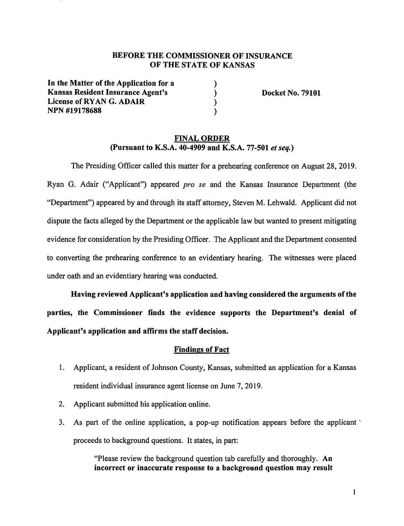# **BEFORE THE COMMISSIONER OF INSURANCE OF THE STATE OF KANSAS**

) ) ) )

**In the Matter of the Application for a Kansas Resident Insurance Agent's License of RYAN G. ADAIR NPN #19178688** 

**Docket No. 79101** 

### **FINAL ORDER (Pursuant to K.S.A. 40-4909 and K.S.A. 77-501** *et seq.)*

The Presiding Officer called this matter for a prehearing conference on August 28, 2019. Ryan G. Adair ("Applicant") appeared *pro se* and the Kansas Insurance Department (the "Department") appeared by and through its staff attorney, Steven M. Lehwald. Applicant did not dispute the facts alleged by the Department or the applicable law but wanted to present mitigating evidence for consideration by the Presiding Officer. The Applicant and the Department consented to converting the prehearing conference to an evidentiary hearing. The witnesses were placed under oath and an evidentiary hearing was conducted.

**Having reviewed Applicant's application and having considered the arguments of the parties, the Commissioner finds the evidence supports the Department's denial of Applicant's application and affirms the staff decision.** 

### **Findings of Fact**

- 1. Applicant, a resident of Johnson County, Kansas, submitted an application for a Kansas resident individual insurance agent license on June 7, 2019.
- 2. Applicant submitted his application online.
- 3. As part of the online application, a pop-up notification appears before the applicant '· proceeds to background questions. It states, in part:

"Please review the background question tab carefully and thoroughly. An **incorrect or inaccurate response to a background question may result**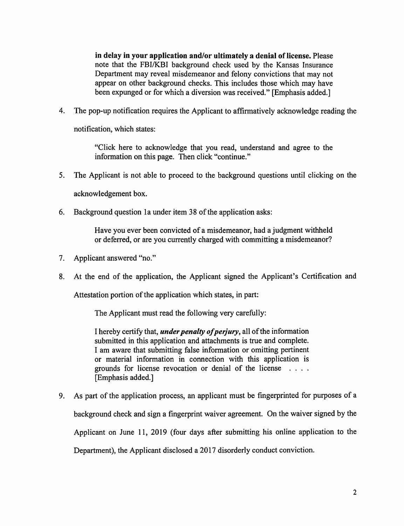**in delay in your application and/or ultimately a denial of license.** Please note that the FBI/KBI background check used by the Kansas Insurance Department may reveal misdemeanor and felony convictions that may not appear on other background checks. This includes those which may have been expunged or for which a diversion was received." [Emphasis added.]

4. The pop-up notification requires the Applicant to affirmatively acknowledge reading the

notification, which states:

"Click here to acknowledge that you read, understand and agree to the information on this page. Then click "continue."

5. The Applicant is not able to proceed to the background questions until clicking on the

acknowledgement box.

6. Background question la under item 38 of the application asks:

Have you ever been convicted of a misdemeanor, had a judgment withheld or deferred, or are you currently charged with committing a misdemeanor?

- 7. Applicant answered "no."
- 8. At the end of the application, the Applicant signed the Applicant's Certification and

Attestation portion of the application which states, in part:

The Applicant must read the following very carefully:

I hereby certify that, *under penalty of perjury,* all of the information submitted in this application and attachments is true and complete. I am aware that submitting false information or omitting pertinent or material information in connection with this application is grounds for license revocation or denial of the license . . . . [Emphasis added.]

9. As part of the application process, an applicant must be fingerprinted for purposes of a background check and sign a fingerprint waiver agreement. On the waiver signed by the Applicant on June 11, 2019 (four days after submitting his online application to the Department), the Applicant disclosed a 2017 disorderly conduct conviction.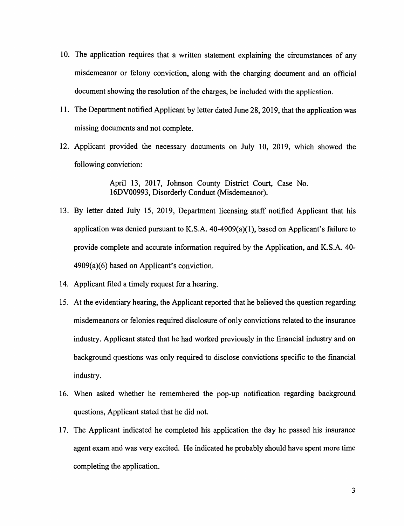- 10. The application requires that a written statement explaining the circumstances of any misdemeanor or felony conviction, along with the charging document and an official document showing the resolution of the charges, be included with the application.
- 11. The Department notified Applicant by letter dated June 28, 2019, that the application was missing documents and not complete.
- 12. Applicant provided the necessary documents on July 10, 2019, which showed the following conviction:

April 13, 2017, Johnson County District Court, Case No. 16DV00993, Disorderly Conduct (Misdemeanor).

- 13. By letter dated July 15, 2019, Department licensing staff notified Applicant that his application was denied pursuant to K.S.A. 40-4909(a)(l), based on Applicant's failure to provide complete and accurate information required by the Application, and K.S.A. 40-  $4909(a)(6)$  based on Applicant's conviction.
- 14. Applicant filed a timely request for a hearing.
- 15. At the evidentiary hearing, the Applicant reported that he believed the question regarding misdemeanors or felonies required disclosure of only convictions related to the insurance industry. Applicant stated that he had worked previously in the financial industry and on background questions was only required to disclose convictions specific to the financial industry.
- 16. When asked whether he remembered the pop-up notification regarding background questions, Applicant stated that he did not.
- 17. The Applicant indicated he completed his application the day he passed his insurance agent exam and was very excited. He indicated he probably should have spent more time completing the application.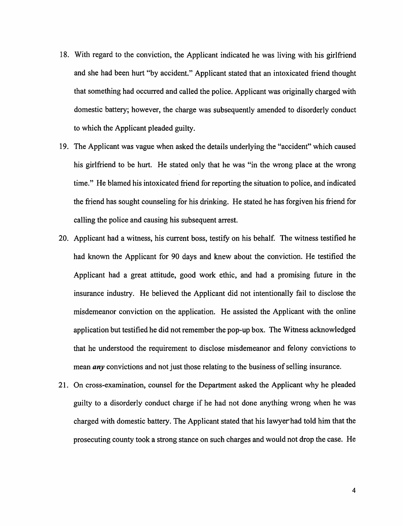- 18. With regard to the conviction, the Applicant indicated he was living with his girlfriend and she had been hurt "by accident." Applicant stated that an intoxicated friend thought that something had occurred and called the police. Applicant was originally charged with domestic battery; however, the charge was subsequently amended to disorderly conduct to which the Applicant pleaded guilty.
- 19. The Applicant was vague when asked the details underlying the "accident" which caused his girlfriend to be hurt. He stated only that he was "in the wrong place at the wrong time." He blamed his intoxicated friend for reporting the situation to police, and indicated the friend has sought counseling for his drinking. He stated he has forgiven his friend for calling the police and causing his subsequent arrest.
- 20. Applicant had a witness, his current boss, testify on his behalf. The witness testified he had known the Applicant for 90 days and knew about the conviction. He testified the Applicant had a great attitude, good work ethic, and had a promising future in the insurance industry. He believed the Applicant did not intentionally fail to disclose the misdemeanor conviction on the application. He assisted the Applicant with the online application but testified he did not remember the pop-up box. The Witness acknowledged that he understood the requirement to disclose misdemeanor and felony convictions to mean *any* convictions and not just those relating to the business of selling insurance.
- 21. On cross-examination, counsel for the Department asked the Applicant why he pleaded guilty to a disorderly conduct charge if he had not done anything wrong when he was charged with domestic battery. The Applicant stated that his lawyer had told him that the prosecuting county took a strong stance on such charges and would not drop the case. He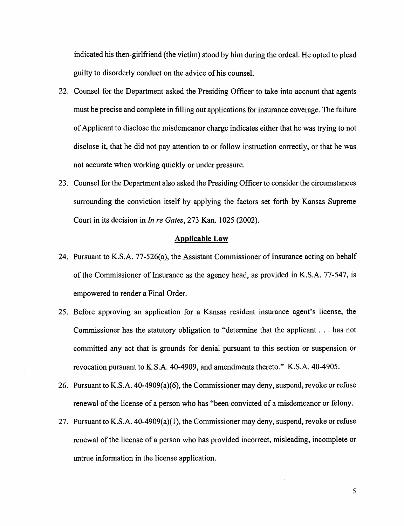indicated his then-girlfriend (the victim) stood by him during the ordeal. He opted to plead guilty to disorderly conduct on the advice of his counsel.

- 22. Counsel for the Department asked the Presiding Officer to take into account that agents must be precise and complete in filling out applications for insurance coverage. The failure of Applicant to disclose the misdemeanor charge indicates either that he was trying to not disclose it, that he did not pay attention to or follow instruction correctly, or that he was not accurate when working quickly or under pressure.
- 23. Counsel for the Department also asked the Presiding Officer to consider the circumstances surrounding the conviction itself by applying the factors set forth by Kansas Supreme Court in its decision in *In re Gates,* 273 Kan. 1025 (2002).

### **Applicable Law**

- 24. Pursuant to K.S.A. 77-526(a), the Assistant Commissioner of Insurance acting on behalf of the Commissioner of Insurance as the agency head, as provided in K.S.A. 77-547, is empowered to render a Final Order.
- 25. Before approving an application for a Kansas resident insurance agent's license, the Commissioner has the statutory obligation to "determine that the applicant ... has not committed any act that is grounds for denial pursuant to this section or suspension or revocation pursuant to K.S.A. 40-4909, and amendments thereto." K.S.A. 40-4905.
- 26. Pursuant to K.S.A. 40-4909(a)(6), the Commissioner may deny, suspend, revoke or refuse renewal of the license of a person who has "been convicted of a misdemeanor or felony.
- 27. Pursuant to K.S.A. 40-4909(a)(l), the Commissioner may deny, suspend, revoke or refuse renewal of the license of a person who has provided incorrect, misleading, incomplete or untrue information in the license application.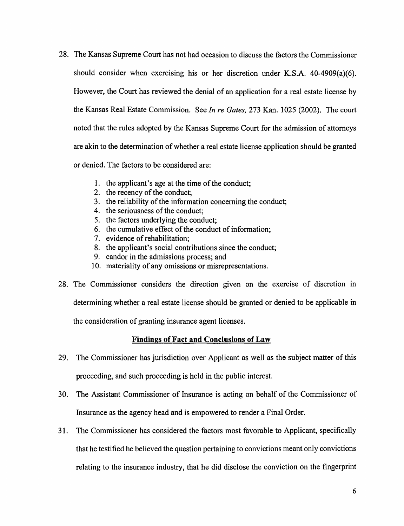- 28. The Kansas Supreme Court has not had occasion to discuss the factors the Commissioner should consider when exercising his or her discretion under K.S.A. 40-4909(a)(6). However, the Court has reviewed the denial of an application for a real estate license by the Kansas Real Estate Commission. See *In re Gates,* 273 Kan. 1025 (2002). The court noted that the rules adopted by the Kansas Supreme Court for the admission of attorneys are akin to the determination of whether a real estate license application should be granted or denied. The factors to be considered are:
	- 1. the applicant's age at the time of the conduct;
	- 2. the recency of the conduct;
	- 3. the reliability of the information concerning the conduct;
	- 4. the seriousness of the conduct;
	- 5. the factors underlying the conduct;
	- 6. the cumulative effect of the conduct of information;
	- 7. evidence of rehabilitation;
	- 8. the applicant's social contributions since the conduct;
	- 9. candor in the admissions process; and
	- 10. materiality of any omissions or misrepresentations.
- 28. The Commissioner considers the direction given on the exercise of discretion in determining whether a real estate license should be granted or denied to be applicable in the consideration of granting insurance agent licenses.

# **Findings of Fact and Conclusions of Law**

- 29. The Commissioner has jurisdiction over Applicant as well as the subject matter of this proceeding, and such proceeding is held in the public interest.
- 30. The Assistant Commissioner of Insurance is acting on behalf of the Commissioner of Insurance as the agency head and is empowered to render a Final Order.
- 31. The Commissioner has considered the factors most favorable to Applicant, specifically that he testified he believed the question pertaining to convictions meant only convictions relating to the insurance industry, that he did disclose the conviction on the fingerprint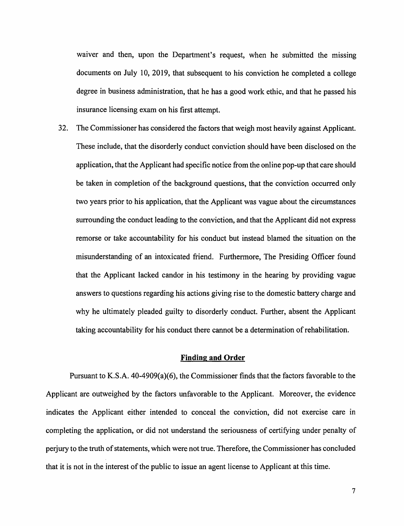waiver and then, upon the Department's request, when he submitted the missing documents on July 10, 2019, that subsequent to his conviction he completed a college degree in business administration, that he has a good work ethic, and that he passed his insurance licensing exam on his first attempt.

32. The Commissioner has considered the factors that weigh most heavily against Applicant. These include, that the disorderly conduct conviction should have been disclosed on the application, that the Applicant had specific notice from the online pop-up that care should be taken in completion of the background questions, that the conviction occurred only two years prior to his application, that the Applicant was vague about the circumstances surrounding the conduct leading to the conviction, and that the Applicant did not express remorse or take accountability for his conduct but instead blamed the situation on the misunderstanding of an intoxicated friend. Furthermore, The Presiding Officer found that the Applicant lacked candor in his testimony in the hearing by providing vague answers to questions regarding his actions giving rise to the domestic battery charge and why he ultimately pleaded guilty to disorderly conduct. Further, absent the Applicant taking accountability for his conduct there cannot be a determination of rehabilitation.

#### **Finding and Order**

Pursuant to K.S.A. 40-4909(a)(6), the Commissioner finds that the factors favorable to the Applicant are outweighed by the factors unfavorable to the Applicant. Moreover, the evidence indicates the Applicant either intended to conceal the conviction, did not exercise care in completing the application, or did not understand the seriousness of certifying under penalty of perjury to the truth of statements, which were not true. Therefore, the Commissioner has concluded that it is not in the interest of the public to issue an agent license to Applicant at this time.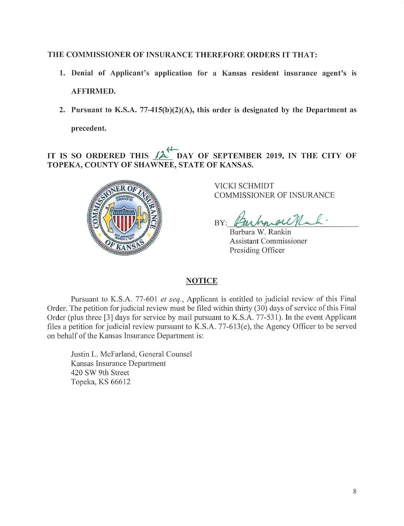## THE COMMISSIONER OF INSURANCE THEREFORE ORDERS IT THAT:

- 1. Denial of Applicant's application for a Kansas resident insurance agent's is AFFIRMED.
- 2. Pursuant to **K.S.A.** 77-415(b)(2)(A), this order is designated by the Department as **precedent.**

## *fl-***IT IS SO ORDERED THIS** */).:,* **DAY OF SEPTEMBER 2019, IN THE CITY OF TOPEKA, COUNTY OF SHAWNEE, STATE OF KANSAS.**



VICKI SCHMIDT COMMISSIONER OF INSURANCE

BY: Burhowou Mal.

Barbara W. Rankin Assistant Commissioner Presiding Officer

### **NOTICE**

Pursuant to K.S.A. 77-601 *et seq.*, Applicant is entitled to judicial review of this Final Order. The petition for judicial review must be filed within thirty (30) days of service of this Final Order (plus three [3] days for service by mail pursuant to K.S.A. 77-531). In the event Applicant files a petition for judicial review pursuant to K.S.A.  $77-613(e)$ , the Agency Officer to be served on behalf of the Kansas Insurance Department is:

Justin L. McFarland, General Counsel Kansas Insurance Department 420 SW 9th Street Topeka, KS 66612